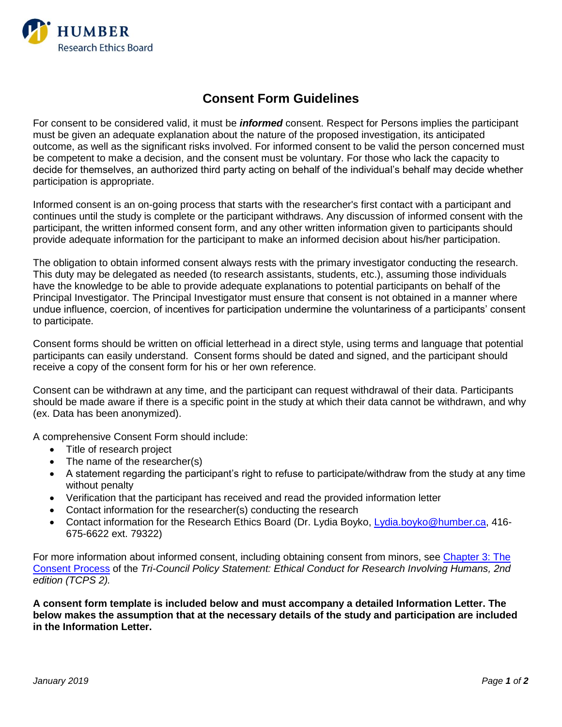

## **Consent Form Guidelines**

For consent to be considered valid, it must be *informed* consent. Respect for Persons implies the participant must be given an adequate explanation about the nature of the proposed investigation, its anticipated outcome, as well as the significant risks involved. For informed consent to be valid the person concerned must be competent to make a decision, and the consent must be voluntary. For those who lack the capacity to decide for themselves, an authorized third party acting on behalf of the individual's behalf may decide whether participation is appropriate.

Informed consent is an on-going process that starts with the researcher's first contact with a participant and continues until the study is complete or the participant withdraws. Any discussion of informed consent with the participant, the written informed consent form, and any other written information given to participants should provide adequate information for the participant to make an informed decision about his/her participation.

The obligation to obtain informed consent always rests with the primary investigator conducting the research. This duty may be delegated as needed (to research assistants, students, etc.), assuming those individuals have the knowledge to be able to provide adequate explanations to potential participants on behalf of the Principal Investigator. The Principal Investigator must ensure that consent is not obtained in a manner where undue influence, coercion, of incentives for participation undermine the voluntariness of a participants' consent to participate.

Consent forms should be written on official letterhead in a direct style, using terms and language that potential participants can easily understand. Consent forms should be dated and signed, and the participant should receive a copy of the consent form for his or her own reference.

Consent can be withdrawn at any time, and the participant can request withdrawal of their data. Participants should be made aware if there is a specific point in the study at which their data cannot be withdrawn, and why (ex. Data has been anonymized).

A comprehensive Consent Form should include:

- Title of research project
- The name of the researcher(s)
- A statement regarding the participant's right to refuse to participate/withdraw from the study at any time without penalty
- Verification that the participant has received and read the provided information letter
- Contact information for the researcher(s) conducting the research
- Contact information for the Research Ethics Board (Dr. Lydia Boyko, [Lydia.boyko@humber.ca,](mailto:Lydia.boyko@humber.ca) 416- 675-6622 ext. 79322)

For more information about informed consent, including obtaining consent from minors, see [Chapter 3: The](http://www.pre.ethics.gc.ca/eng/policy-politique/initiatives/tcps2-eptc2/chapter3-chapitre3/)  [Consent Process](http://www.pre.ethics.gc.ca/eng/policy-politique/initiatives/tcps2-eptc2/chapter3-chapitre3/) of the *Tri-Council Policy Statement: Ethical Conduct for Research Involving Humans, 2nd edition (TCPS 2).*

**A consent form template is included below and must accompany a detailed Information Letter. The below makes the assumption that at the necessary details of the study and participation are included in the Information Letter.**